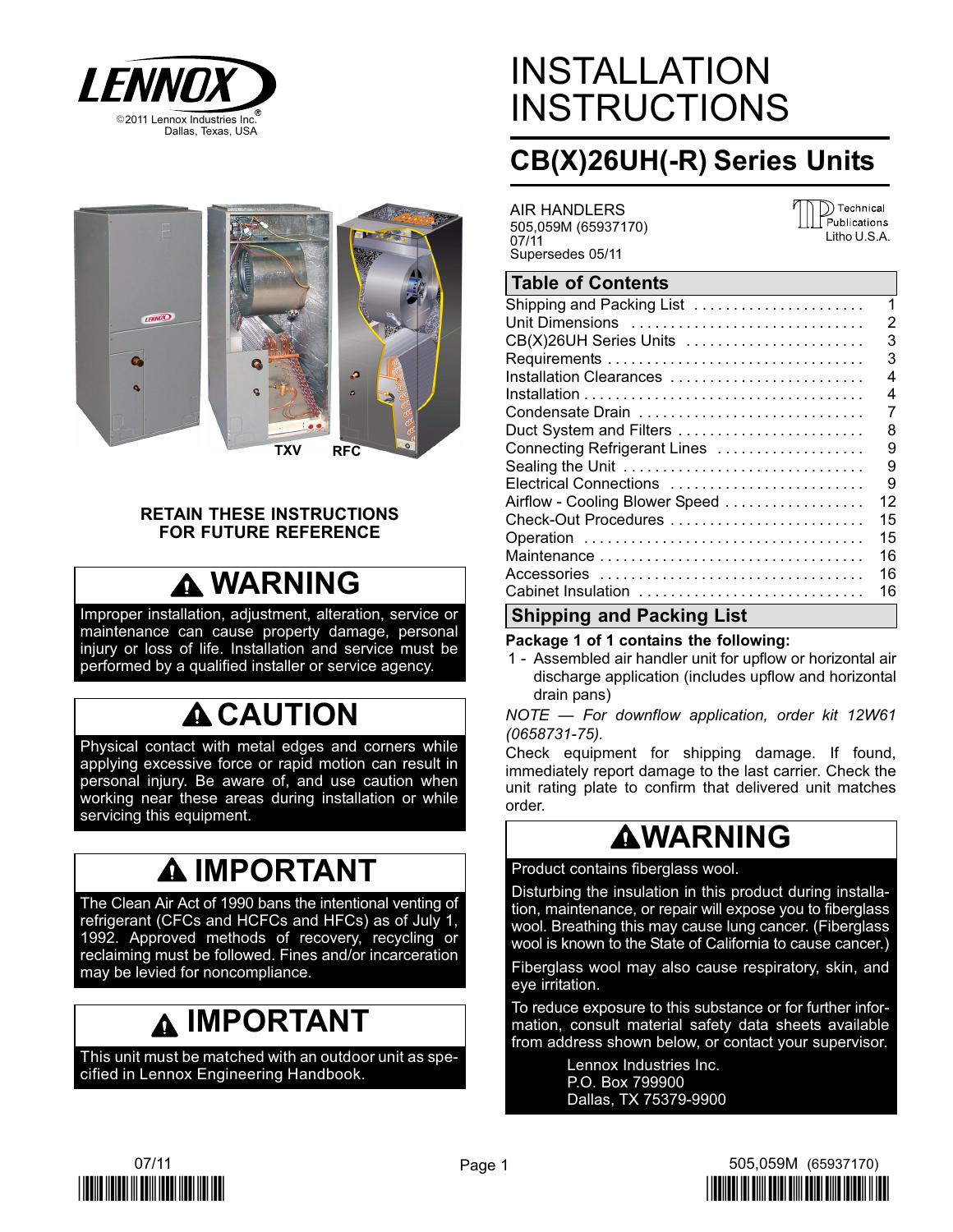



### RETAIN THESE INSTRUCTIONS FOR FUTURE REFERENCE

# WARNING

Improper installation, adjustment, alteration, service or maintenance can cause property damage, personal injury or loss of life. Installation and service must be performed by a qualified installer or service agency.

# **A CAUTION**

Physical contact with metal edges and corners while applying excessive force or rapid motion can result in personal injury. Be aware of, and use caution when working near these areas during installation or while servicing this equipment.

# **A IMPORTANT**

The Clean Air Act of 1990 bans the intentional venting of refrigerant (CFCs and HCFCs and HFCs) as of July 1, 1992. Approved methods of recovery, recycling or reclaiming must be followed. Fines and/or incarceration may be levied for noncompliance.

## IMPORTANT

This unit must be matched with an outdoor unit as specified in Lennox Engineering Handbook.

# INSTALLATION **INSTRUCTIONS**

### CB(X)26UH(−R) Series Units

AIR HANDLERS 505,059M (65937170) 07/11 Supersedes 05/11

D Technical Publications Litho U.S.A.

### Table of Contents

| Shipping and Packing List      |    |
|--------------------------------|----|
| Unit Dimensions                | 2  |
| CB(X)26UH Series Units         | 3  |
|                                | 3  |
| Installation Clearances        | 4  |
|                                | 4  |
| Condensate Drain               |    |
| Duct System and Filters        | 8  |
| Connecting Refrigerant Lines   | 9  |
| Sealing the Unit               | 9  |
| Electrical Connections         | 9  |
| Airflow - Cooling Blower Speed | 12 |
| Check-Out Procedures           | 15 |
|                                | 15 |
|                                | 16 |
| Accessories                    | 16 |
| Cabinet Insulation             | 16 |
|                                |    |

### Shipping and Packing List

### Package 1 of 1 contains the following:

1 − Assembled air handler unit for upflow or horizontal air discharge application (includes upflow and horizontal drain pans)

NOTE — For downflow application, order kit 12W61 (0658731−75).

Check equipment for shipping damage. If found, immediately report damage to the last carrier. Check the unit rating plate to confirm that delivered unit matches order.

### **AWARNING**

Product contains fiberglass wool.

Disturbing the insulation in this product during installation, maintenance, or repair will expose you to fiberglass wool. Breathing this may cause lung cancer. (Fiberglass wool is known to the State of California to cause cancer.)

Fiberglass wool may also cause respiratory, skin, and eye irritation.

To reduce exposure to this substance or for further information, consult material safety data sheets available from address shown below, or contact your supervisor.

> Lennox Industries Inc. P.O. Box 799900 Dallas, TX 75379−9900



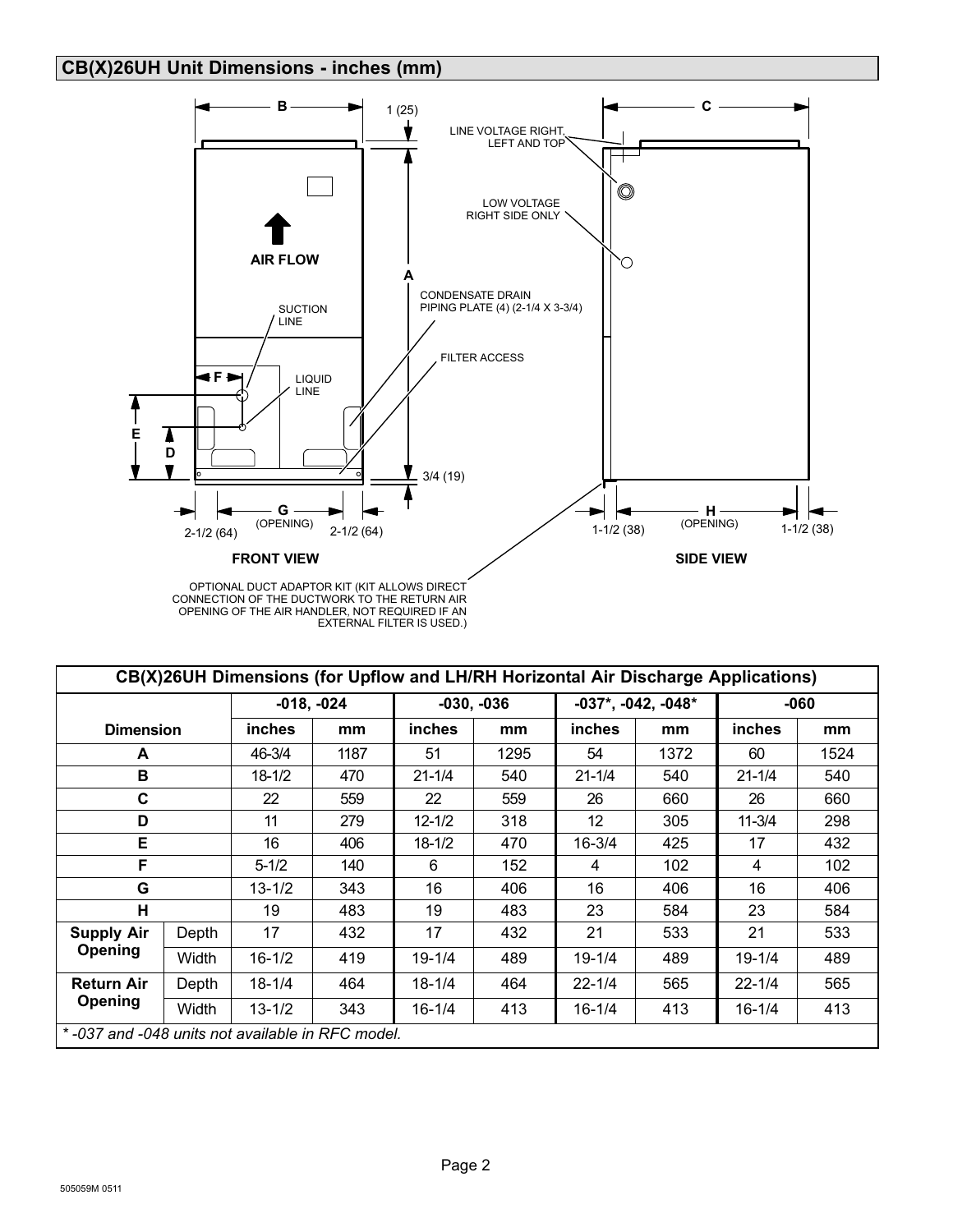### <span id="page-1-0"></span>CB(X)26UH Unit Dimensions − inches (mm)



EXTERNAL FILTER IS USED.)

| CB(X)26UH Dimensions (for Upflow and LH/RH Horizontal Air Discharge Applications) |       |              |      |               |      |                             |      |               |      |
|-----------------------------------------------------------------------------------|-------|--------------|------|---------------|------|-----------------------------|------|---------------|------|
|                                                                                   |       | $-018, -024$ |      | $-030, -036$  |      | $-037$ *, $-042$ , $-048$ * |      | -060          |      |
| <b>Dimension</b>                                                                  |       | inches       | mm   | <i>inches</i> | mm   | <i>inches</i>               | mm   | <i>inches</i> | mm   |
| A                                                                                 |       | 46-3/4       | 1187 | 51            | 1295 | 54                          | 1372 | 60            | 1524 |
| В                                                                                 |       | $18 - 1/2$   | 470  | $21 - 1/4$    | 540  | $21 - 1/4$                  | 540  | $21 - 1/4$    | 540  |
| $\mathbf c$                                                                       |       | 22           | 559  | 22            | 559  | 26                          | 660  | 26            | 660  |
| D                                                                                 |       | 11           | 279  | $12 - 1/2$    | 318  | 12                          | 305  | $11 - 3/4$    | 298  |
| E                                                                                 |       | 16           | 406  | $18 - 1/2$    | 470  | $16 - 3/4$                  | 425  | 17            | 432  |
| F                                                                                 |       | $5 - 1/2$    | 140  | 6             | 152  | 4                           | 102  | 4             | 102  |
| G                                                                                 |       | $13 - 1/2$   | 343  | 16            | 406  | 16                          | 406  | 16            | 406  |
| н                                                                                 |       | 19           | 483  | 19            | 483  | 23                          | 584  | 23            | 584  |
| <b>Supply Air</b><br>Opening                                                      | Depth | 17           | 432  | 17            | 432  | 21                          | 533  | 21            | 533  |
|                                                                                   | Width | $16 - 1/2$   | 419  | $19 - 1/4$    | 489  | $19 - 1/4$                  | 489  | 19-1/4        | 489  |
| <b>Return Air</b><br><b>Opening</b>                                               | Depth | $18 - 1/4$   | 464  | $18 - 1/4$    | 464  | $22 - 1/4$                  | 565  | $22 - 1/4$    | 565  |
|                                                                                   | Width | $13 - 1/2$   | 343  | $16 - 1/4$    | 413  | $16 - 1/4$                  | 413  | $16 - 1/4$    | 413  |
| *-037 and -048 units not available in RFC model.                                  |       |              |      |               |      |                             |      |               |      |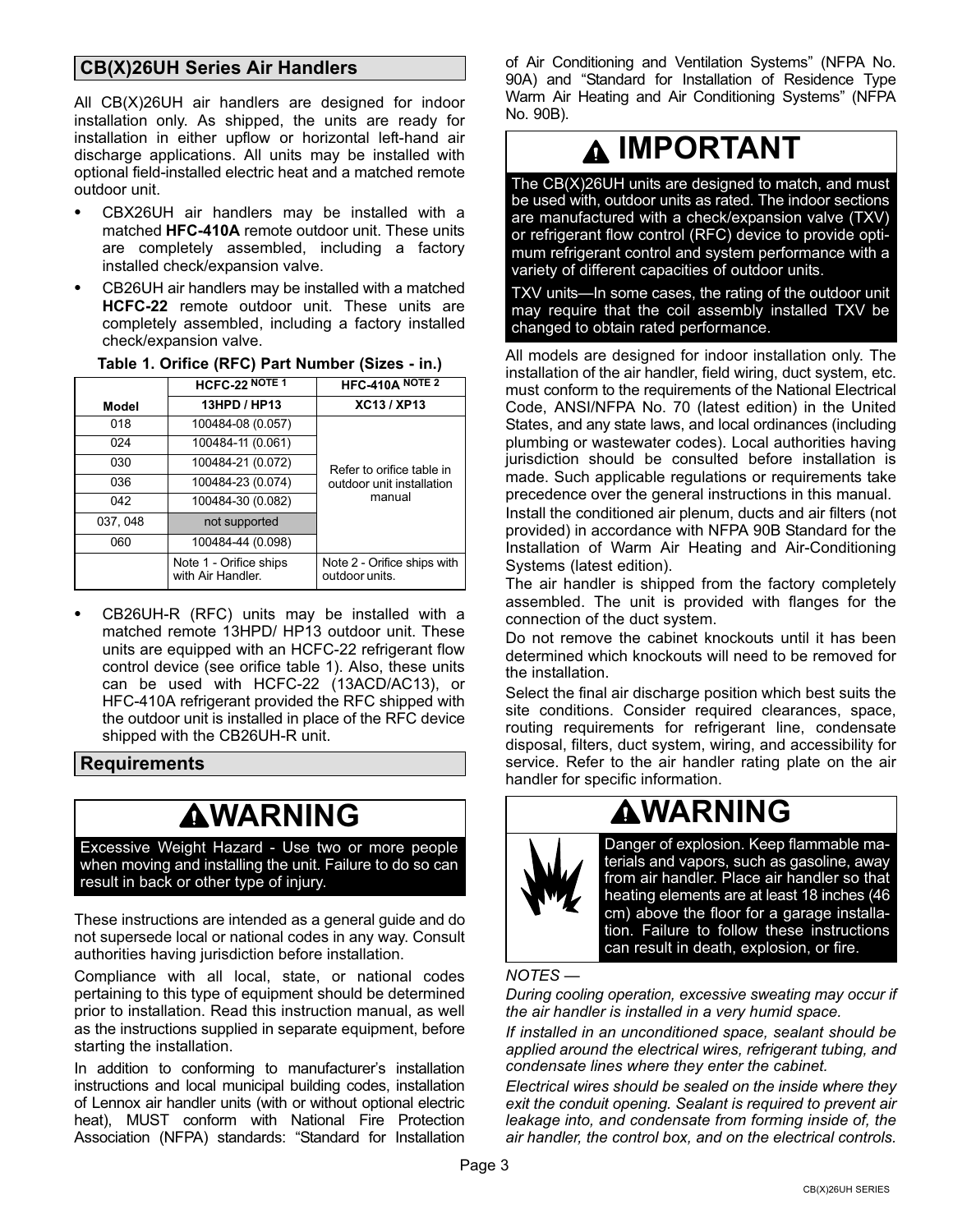### <span id="page-2-0"></span>CB(X)26UH Series Air Handlers

All CB(X)26UH air handlers are designed for indoor installation only. As shipped, the units are ready for installation in either upflow or horizontal left−hand air discharge applications. All units may be installed with optional field−installed electric heat and a matched remote outdoor unit.

- $\bullet$  CBX26UH air handlers may be installed with a matched HFC−410A remote outdoor unit. These units are completely assembled, including a factory installed check/expansion valve.
- $\bullet$  CB26UH air handlers may be installed with a matched HCFC-22 remote outdoor unit. These units are completely assembled, including a factory installed check/expansion valve.

|         | <b>HCFC-22 NOTE 1</b>                       | HFC-410A NOTE 2                               |  |  |  |  |
|---------|---------------------------------------------|-----------------------------------------------|--|--|--|--|
| Model   | 13HPD / HP13                                | <b>XC13/XP13</b>                              |  |  |  |  |
| 018     | 100484-08 (0.057)                           |                                               |  |  |  |  |
| 024     | 100484-11 (0.061)                           |                                               |  |  |  |  |
| 030     | 100484-21 (0.072)                           | Refer to orifice table in                     |  |  |  |  |
| 036     | 100484-23 (0.074)                           | outdoor unit installation                     |  |  |  |  |
| 042     | 100484-30 (0.082)                           | manual                                        |  |  |  |  |
| 037.048 | not supported                               |                                               |  |  |  |  |
| 060     | 100484-44 (0.098)                           |                                               |  |  |  |  |
|         | Note 1 - Orifice ships<br>with Air Handler. | Note 2 - Orifice ships with<br>outdoor units. |  |  |  |  |

#### Table 1. Orifice (RFC) Part Number (Sizes − in.)

 $\bullet$  CB26UH−R (RFC) units may be installed with a matched remote 13HPD/ HP13 outdoor unit. These units are equipped with an HCFC−22 refrigerant flow control device (see orifice table 1). Also, these units can be used with HCFC−22 (13ACD/AC13), or HFC−410A refrigerant provided the RFC shipped with the outdoor unit is installed in place of the RFC device shipped with the CB26UH−R unit.

### Requirements

### **AWARNING**

Excessive Weight Hazard − Use two or more people when moving and installing the unit. Failure to do so can result in back or other type of injury.

These instructions are intended as a general guide and do not supersede local or national codes in any way. Consult authorities having jurisdiction before installation.

Compliance with all local, state, or national codes pertaining to this type of equipment should be determined prior to installation. Read this instruction manual, as well as the instructions supplied in separate equipment, before starting the installation.

In addition to conforming to manufacturer's installation instructions and local municipal building codes, installation of Lennox air handler units (with or without optional electric heat), MUST conform with National Fire Protection Association (NFPA) standards: "Standard for Installation

of Air Conditioning and Ventilation Systems" (NFPA No. 90A) and "Standard for Installation of Residence Type Warm Air Heating and Air Conditioning Systems" (NFPA No. 90B).

## IMPORTANT

The CB(X)26UH units are designed to match, and must be used with, outdoor units as rated. The indoor sections are manufactured with a check/expansion valve (TXV) or refrigerant flow control (RFC) device to provide optimum refrigerant control and system performance with a variety of different capacities of outdoor units.

TXV units-In some cases, the rating of the outdoor unit may require that the coil assembly installed TXV be changed to obtain rated performance.

All models are designed for indoor installation only. The installation of the air handler, field wiring, duct system, etc. must conform to the requirements of the National Electrical Code, ANSI/NFPA No. 70 (latest edition) in the United States, and any state laws, and local ordinances (including plumbing or wastewater codes). Local authorities having jurisdiction should be consulted before installation is made. Such applicable regulations or requirements take precedence over the general instructions in this manual.

Install the conditioned air plenum, ducts and air filters (not provided) in accordance with NFPA 90B Standard for the Installation of Warm Air Heating and Air−Conditioning Systems (latest edition).

The air handler is shipped from the factory completely assembled. The unit is provided with flanges for the connection of the duct system.

Do not remove the cabinet knockouts until it has been determined which knockouts will need to be removed for the installation.

Select the final air discharge position which best suits the site conditions. Consider required clearances, space, routing requirements for refrigerant line, condensate disposal, filters, duct system, wiring, and accessibility for service. Refer to the air handler rating plate on the air handler for specific information.

### WARNING



Danger of explosion. Keep flammable materials and vapors, such as gasoline, away from air handler. Place air handler so that heating elements are at least 18 inches (46 cm) above the floor for a garage installation. Failure to follow these instructions can result in death, explosion, or fire.

NOTES  $-$ 

During cooling operation, excessive sweating may occur if the air handler is installed in a very humid space.

If installed in an unconditioned space, sealant should be applied around the electrical wires, refrigerant tubing, and condensate lines where they enter the cabinet.

Electrical wires should be sealed on the inside where they exit the conduit opening. Sealant is required to prevent air leakage into, and condensate from forming inside of, the air handler, the control box, and on the electrical controls.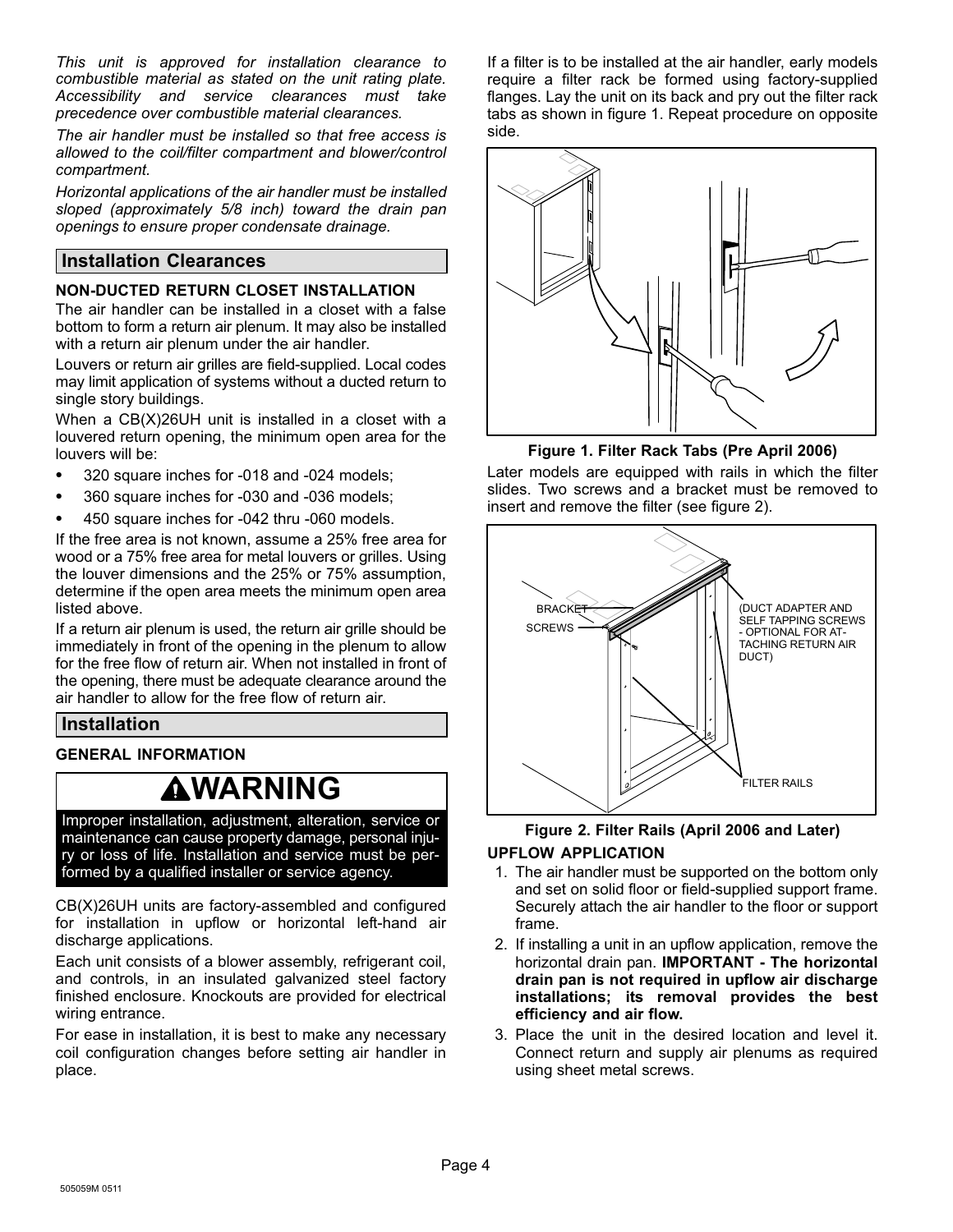<span id="page-3-0"></span>This unit is approved for installation clearance to combustible material as stated on the unit rating plate. Accessibility and service clearances must take precedence over combustible material clearances.

The air handler must be installed so that free access is allowed to the coil/filter compartment and blower/control compartment.

Horizontal applications of the air handler must be installed sloped (approximately 5/8 inch) toward the drain pan openings to ensure proper condensate drainage.

### Installation Clearances

### NON−DUCTED RETURN CLOSET INSTALLATION

The air handler can be installed in a closet with a false bottom to form a return air plenum. It may also be installed with a return air plenum under the air handler.

Louvers or return air grilles are field-supplied. Local codes may limit application of systems without a ducted return to single story buildings.

When a CB(X)26UH unit is installed in a closet with a louvered return opening, the minimum open area for the louvers will be:

- $\bullet$ 320 square inches for −018 and −024 models;
- $\bullet$ 360 square inches for −030 and −036 models;
- $\bullet$ 450 square inches for −042 thru −060 models.

If the free area is not known, assume a 25% free area for wood or a 75% free area for metal louvers or grilles. Using the louver dimensions and the 25% or 75% assumption, determine if the open area meets the minimum open area listed above.

If a return air plenum is used, the return air grille should be immediately in front of the opening in the plenum to allow for the free flow of return air. When not installed in front of the opening, there must be adequate clearance around the air handler to allow for the free flow of return air.

### Installation

### GENERAL INFORMATION

### WARNING

Improper installation, adjustment, alteration, service or maintenance can cause property damage, personal injury or loss of life. Installation and service must be performed by a qualified installer or service agency.

CB(X)26UH units are factory−assembled and configured for installation in upflow or horizontal left−hand air discharge applications.

Each unit consists of a blower assembly, refrigerant coil, and controls, in an insulated galvanized steel factory finished enclosure. Knockouts are provided for electrical wiring entrance.

For ease in installation, it is best to make any necessary coil configuration changes before setting air handler in place.

If a filter is to be installed at the air handler, early models require a filter rack be formed using factory−supplied flanges. Lay the unit on its back and pry out the filter rack tabs as shown in figure 1. Repeat procedure on opposite side.



Figure 1. Filter Rack Tabs (Pre April 2006)

Later models are equipped with rails in which the filter slides. Two screws and a bracket must be removed to insert and remove the filter (see figure 2).





### UPFLOW APPLICATION

- 1. The air handler must be supported on the bottom only and set on solid floor or field-supplied support frame. Securely attach the air handler to the floor or support frame.
- 2. If installing a unit in an upflow application, remove the horizontal drain pan. IMPORTANT − The horizontal drain pan is not required in upflow air discharge installations; its removal provides the best efficiency and air flow.
- 3. Place the unit in the desired location and level it. Connect return and supply air plenums as required using sheet metal screws.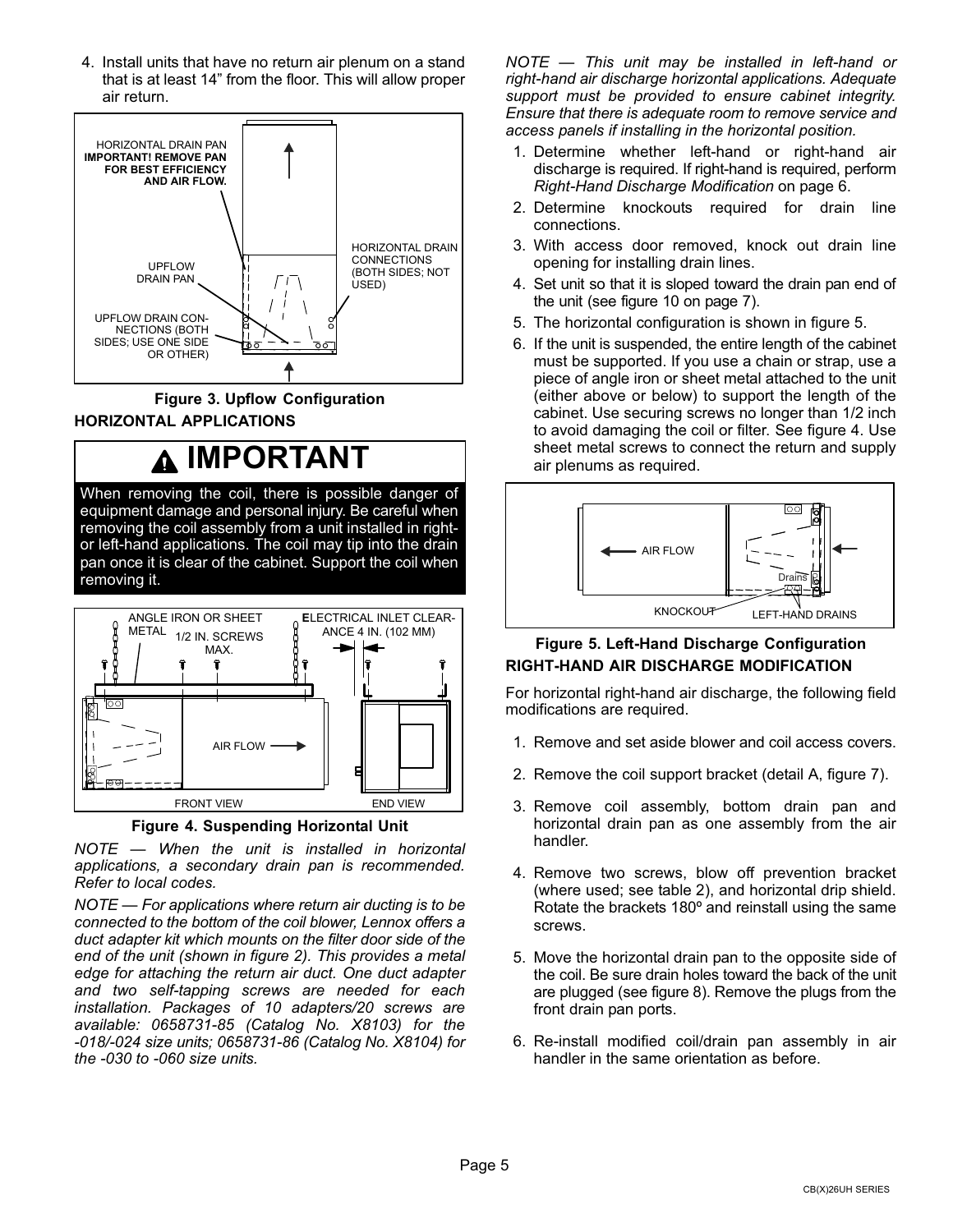4. Install units that have no return air plenum on a stand that is at least 14" from the floor. This will allow proper air return.





### HORIZONTAL APPLICATIONS

## IMPORTANT

When removing the coil, there is possible danger of equipment damage and personal injury. Be careful when removing the coil assembly from a unit installed in right− or left−hand applications. The coil may tip into the drain pan once it is clear of the cabinet. Support the coil when removing it.



Figure 4. Suspending Horizontal Unit

NOTE — When the unit is installed in horizontal applications, a secondary drain pan is recommended. Refer to local codes.

NOTE — For applications where return air ducting is to be connected to the bottom of the coil blower, Lennox offers a duct adapter kit which mounts on the filter door side of the end of the unit (shown in figure [2](#page-3-0)). This provides a metal edge for attaching the return air duct. One duct adapter and two self−tapping screws are needed for each installation. Packages of 10 adapters/20 screws are available: 0658731−85 (Catalog No. X8103) for the −018/−024 size units; 0658731−86 (Catalog No. X8104) for the −030 to −060 size units.

NOTE — This unit may be installed in left-hand or right−hand air discharge horizontal applications. Adequate support must be provided to ensure cabinet integrity. Ensure that there is adequate room to remove service and access panels if installing in the horizontal position.

- 1. Determine whether left-hand or right-hand air discharge is required. If right-hand is required, perform Right−Hand Discharge Modification on page [6](#page-5-0).
- 2. Determine knockouts required for drain line connections.
- 3. With access door removed, knock out drain line opening for installing drain lines.
- 4. Set unit so that it is sloped toward the drain pan end of the unit (see figure [10](#page-6-0) on page [7\)](#page-6-0).
- 5. The horizontal configuration is shown in figure 5.
- 6. If the unit is suspended, the entire length of the cabinet must be supported. If you use a chain or strap, use a piece of angle iron or sheet metal attached to the unit (either above or below) to support the length of the cabinet. Use securing screws no longer than 1/2 inch to avoid damaging the coil or filter. See figure 4. Use sheet metal screws to connect the return and supply air plenums as required.



### Figure 5. Left-Hand Discharge Configuration RIGHT−HAND AIR DISCHARGE MODIFICATION

For horizontal right−hand air discharge, the following field modifications are required.

- 1. Remove and set aside blower and coil access covers.
- 2. Remove the coil support bracket (detail A, figure [7](#page-5-0)).
- 3. Remove coil assembly, bottom drain pan and horizontal drain pan as one assembly from the air handler.
- 4. Remove two screws, blow off prevention bracket (where used; see table [2\)](#page-5-0), and horizontal drip shield. Rotate the brackets 180º and reinstall using the same screws.
- 5. Move the horizontal drain pan to the opposite side of the coil. Be sure drain holes toward the back of the unit are plugged (see figure [8\)](#page-5-0). Remove the plugs from the front drain pan ports.
- 6. Re−install modified coil/drain pan assembly in air handler in the same orientation as before.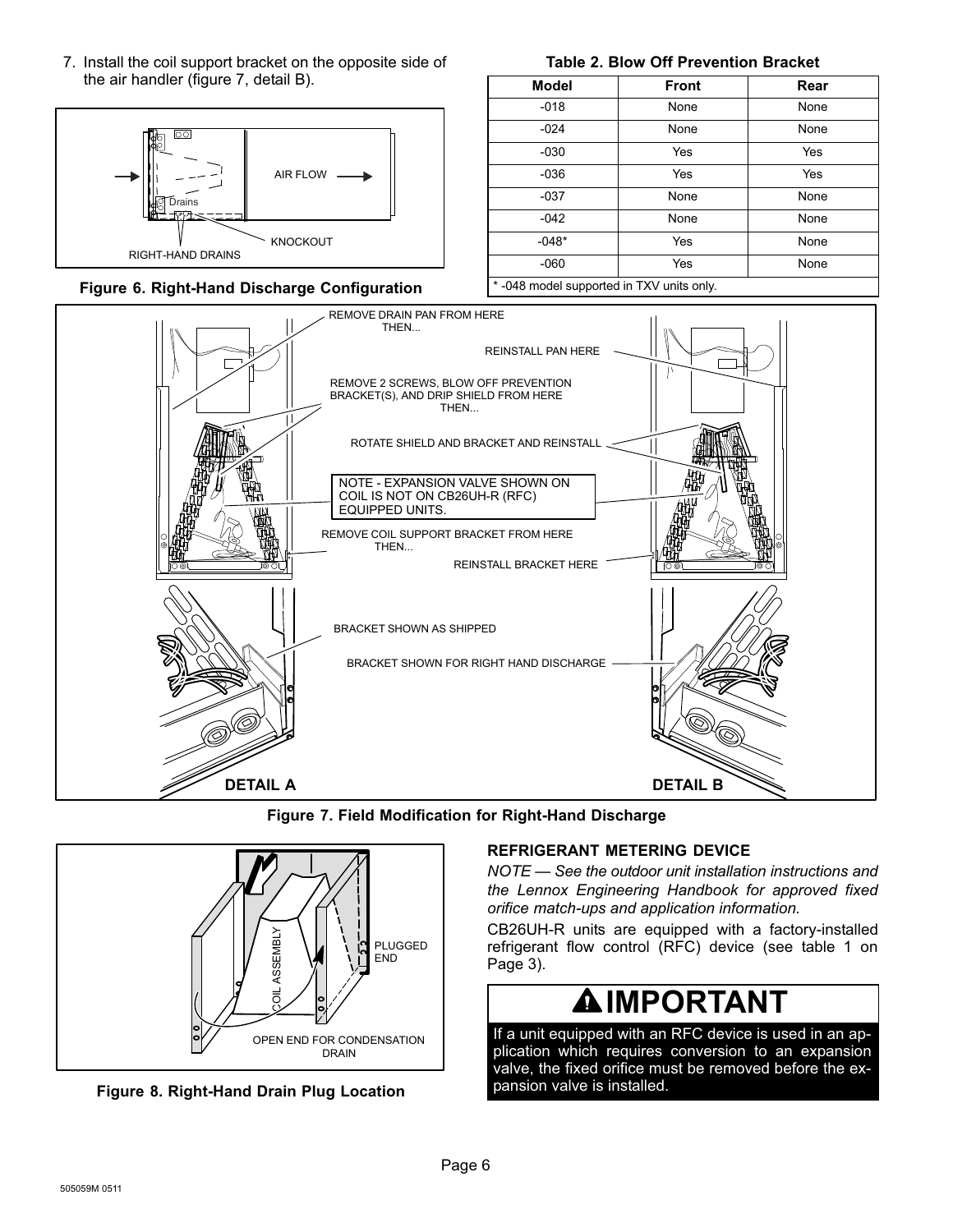<span id="page-5-0"></span>7. Install the coil support bracket on the opposite side of the air handler (figure 7, detail B).



### Figure 6. Right-Hand Discharge Configuration

#### Table 2. Blow Off Prevention Bracket

| <b>Model</b>                             | <b>Front</b> | Rear |  |  |  |  |
|------------------------------------------|--------------|------|--|--|--|--|
| $-018$                                   | None         | None |  |  |  |  |
| $-024$                                   | None         | None |  |  |  |  |
| $-030$                                   | Yes          | Yes  |  |  |  |  |
| $-036$                                   | Yes          | Yes  |  |  |  |  |
| $-037$                                   | None         | None |  |  |  |  |
| $-042$                                   | None         | None |  |  |  |  |
| $-048*$                                  | Yes          | None |  |  |  |  |
| $-060$                                   | Yes          | None |  |  |  |  |
| *-048 model supported in TXV units only. |              |      |  |  |  |  |



Figure 7. Field Modification for Right−Hand Discharge



Figure 8. Right-Hand Drain Plug Location

### REFRIGERANT METERING DEVICE

NOTE — See the outdoor unit installation instructions and the Lennox Engineering Handbook for approved fixed orifice match−ups and application information.

CB26UH−R units are equipped with a factory−installed refrigerant flow control (RFC) device (see table [1](#page-2-0) on [Page 3\)](#page-2-0).

# **AIMPORTANT**

If a unit equipped with an RFC device is used in an application which requires conversion to an expansion valve, the fixed orifice must be removed before the expansion valve is installed.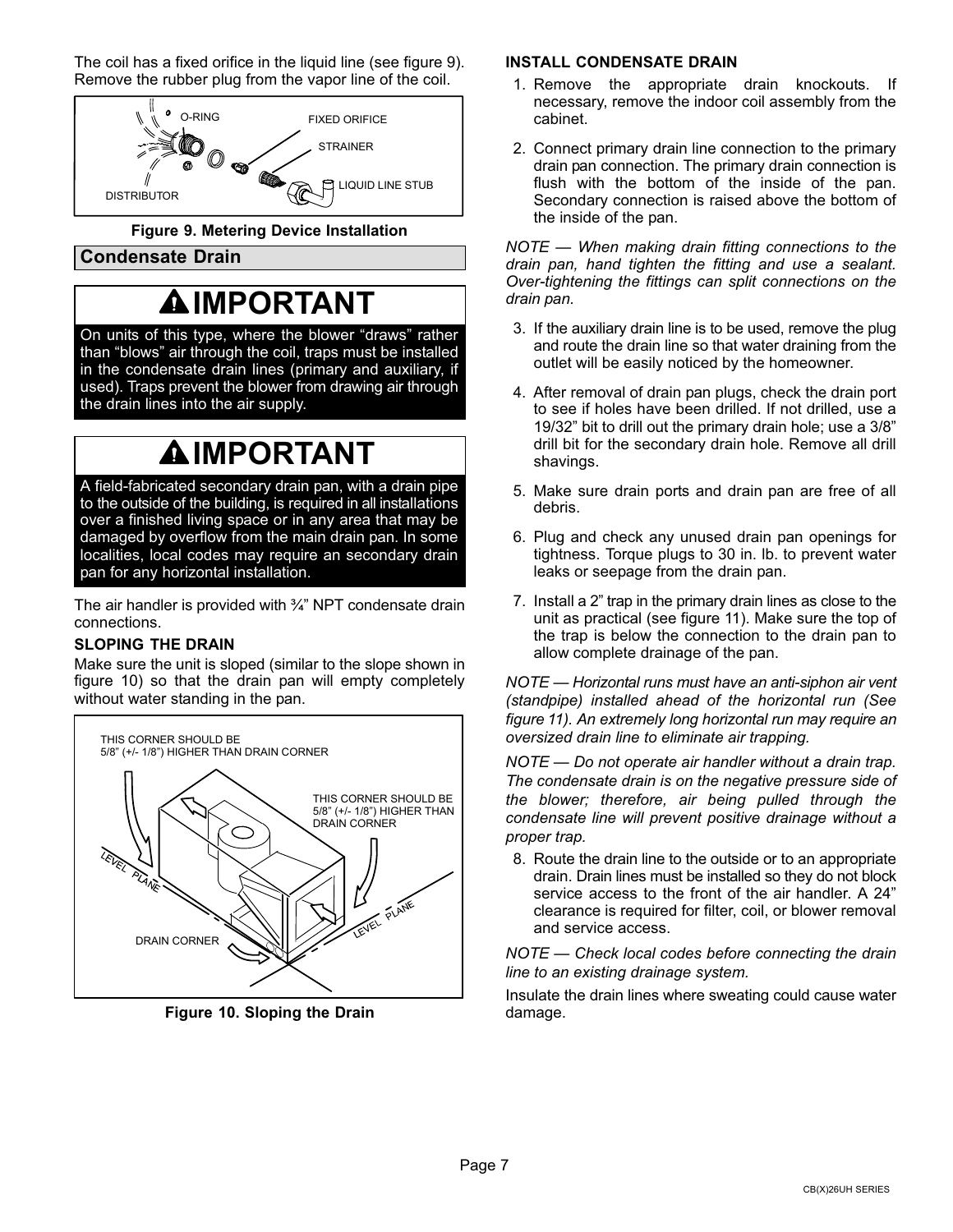<span id="page-6-0"></span>The coil has a fixed orifice in the liquid line (see figure 9). Remove the rubber plug from the vapor line of the coil.



Figure 9. Metering Device Installation

### Condensate Drain

# **AIMPORTANT**

On units of this type, where the blower "draws" rather than "blows" air through the coil, traps must be installed in the condensate drain lines (primary and auxiliary, if used). Traps prevent the blower from drawing air through the drain lines into the air supply.

# **AIMPORTANT**

A field−fabricated secondary drain pan, with a drain pipe to the outside of the building, is required in all installations over a finished living space or in any area that may be damaged by overflow from the main drain pan. In some localities, local codes may require an secondary drain pan for any horizontal installation.

The air handler is provided with ¾" NPT condensate drain connections.

### SLOPING THE DRAIN

Make sure the unit is sloped (similar to the slope shown in figure 10) so that the drain pan will empty completely without water standing in the pan.



Figure 10. Sloping the Drain

#### INSTALL CONDENSATE DRAIN

- 1. Remove the appropriate drain knockouts. If necessary, remove the indoor coil assembly from the cabinet.
- 2. Connect primary drain line connection to the primary drain pan connection. The primary drain connection is flush with the bottom of the inside of the pan. Secondary connection is raised above the bottom of the inside of the pan.

NOTE - When making drain fitting connections to the drain pan, hand tighten the fitting and use a sealant. Over−tightening the fittings can split connections on the drain pan.

- 3. If the auxiliary drain line is to be used, remove the plug and route the drain line so that water draining from the outlet will be easily noticed by the homeowner.
- 4. After removal of drain pan plugs, check the drain port to see if holes have been drilled. If not drilled, use a 19/32" bit to drill out the primary drain hole; use a 3/8" drill bit for the secondary drain hole. Remove all drill shavings.
- 5. Make sure drain ports and drain pan are free of all debris.
- 6. Plug and check any unused drain pan openings for tightness. Torque plugs to 30 in. lb. to prevent water leaks or seepage from the drain pan.
- 7. Install a 2" trap in the primary drain lines as close to the unit as practical (see figure [11\)](#page-7-0). Make sure the top of the trap is below the connection to the drain pan to allow complete drainage of the pan.

NOTE — Horizontal runs must have an anti-siphon air vent (standpipe) installed ahead of the horizontal run (See figure [11](#page-7-0)). An extremely long horizontal run may require an oversized drain line to eliminate air trapping.

NOTE — Do not operate air handler without a drain trap. The condensate drain is on the negative pressure side of the blower; therefore, air being pulled through the condensate line will prevent positive drainage without a proper trap.

8. Route the drain line to the outside or to an appropriate drain. Drain lines must be installed so they do not block service access to the front of the air handler. A 24" clearance is required for filter, coil, or blower removal and service access.

NOTE — Check local codes before connecting the drain line to an existing drainage system.

Insulate the drain lines where sweating could cause water damage.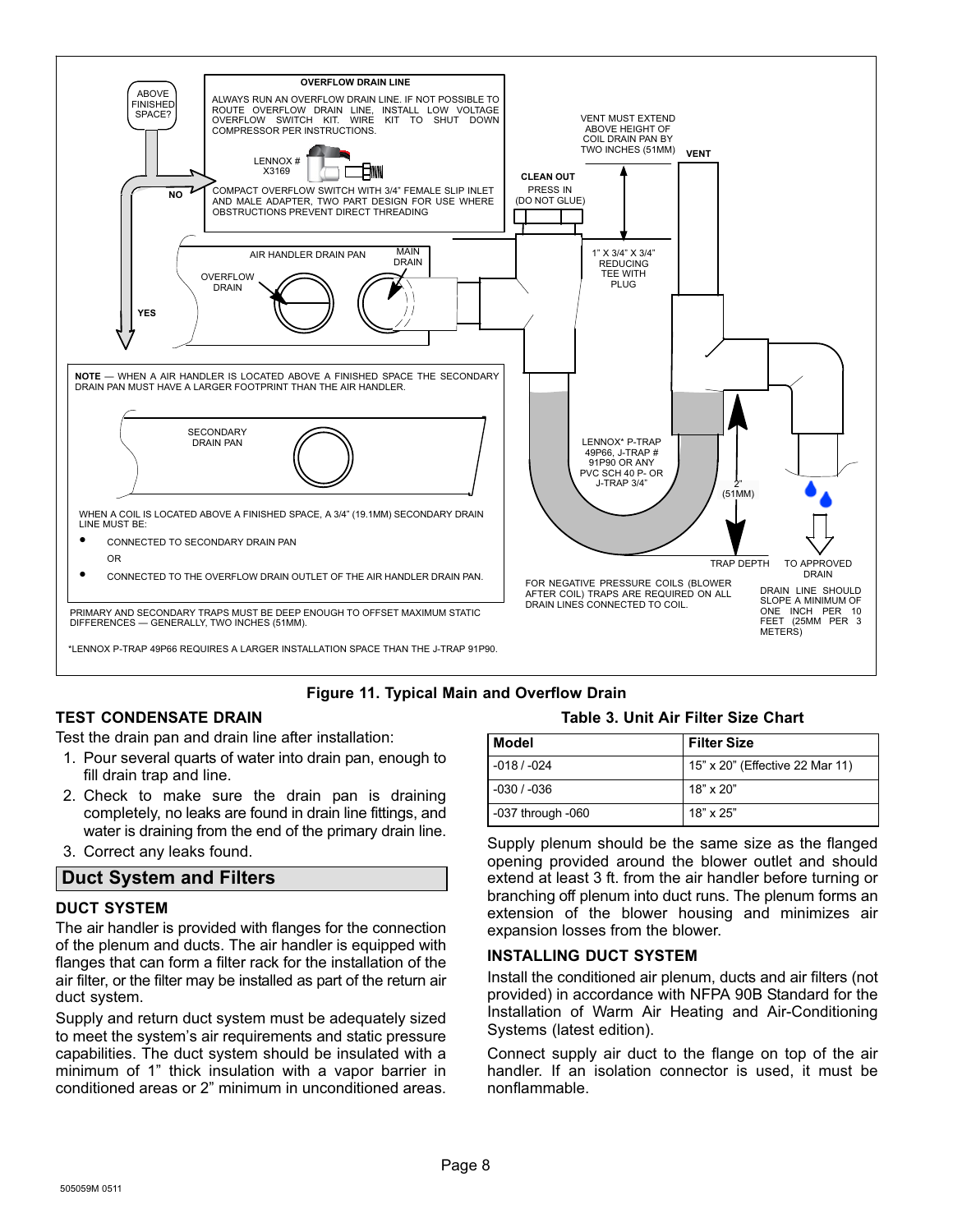<span id="page-7-0"></span>

### Figure 11. Typical Main and Overflow Drain

### TEST CONDENSATE DRAIN

Test the drain pan and drain line after installation:

- 1. Pour several quarts of water into drain pan, enough to fill drain trap and line.
- 2. Check to make sure the drain pan is draining completely, no leaks are found in drain line fittings, and water is draining from the end of the primary drain line.
- 3. Correct any leaks found.

### Duct System and Filters

#### DUCT SYSTEM

The air handler is provided with flanges for the connection of the plenum and ducts. The air handler is equipped with flanges that can form a filter rack for the installation of the air filter, or the filter may be installed as part of the return air duct system.

Supply and return duct system must be adequately sized to meet the system's air requirements and static pressure capabilities. The duct system should be insulated with a minimum of 1" thick insulation with a vapor barrier in conditioned areas or 2" minimum in unconditioned areas.

Table 3. Unit Air Filter Size Chart

| Model             | <b>Filter Size</b>              |
|-------------------|---------------------------------|
| $-018/024$        | 15" x 20" (Effective 22 Mar 11) |
| $-030/ -036$      | $18" \times 20"$                |
| -037 through -060 | $18" \times 25"$                |

Supply plenum should be the same size as the flanged opening provided around the blower outlet and should extend at least 3 ft. from the air handler before turning or branching off plenum into duct runs. The plenum forms an extension of the blower housing and minimizes air expansion losses from the blower.

#### INSTALLING DUCT SYSTEM

Install the conditioned air plenum, ducts and air filters (not provided) in accordance with NFPA 90B Standard for the Installation of Warm Air Heating and Air−Conditioning Systems (latest edition).

Connect supply air duct to the flange on top of the air handler. If an isolation connector is used, it must be nonflammable.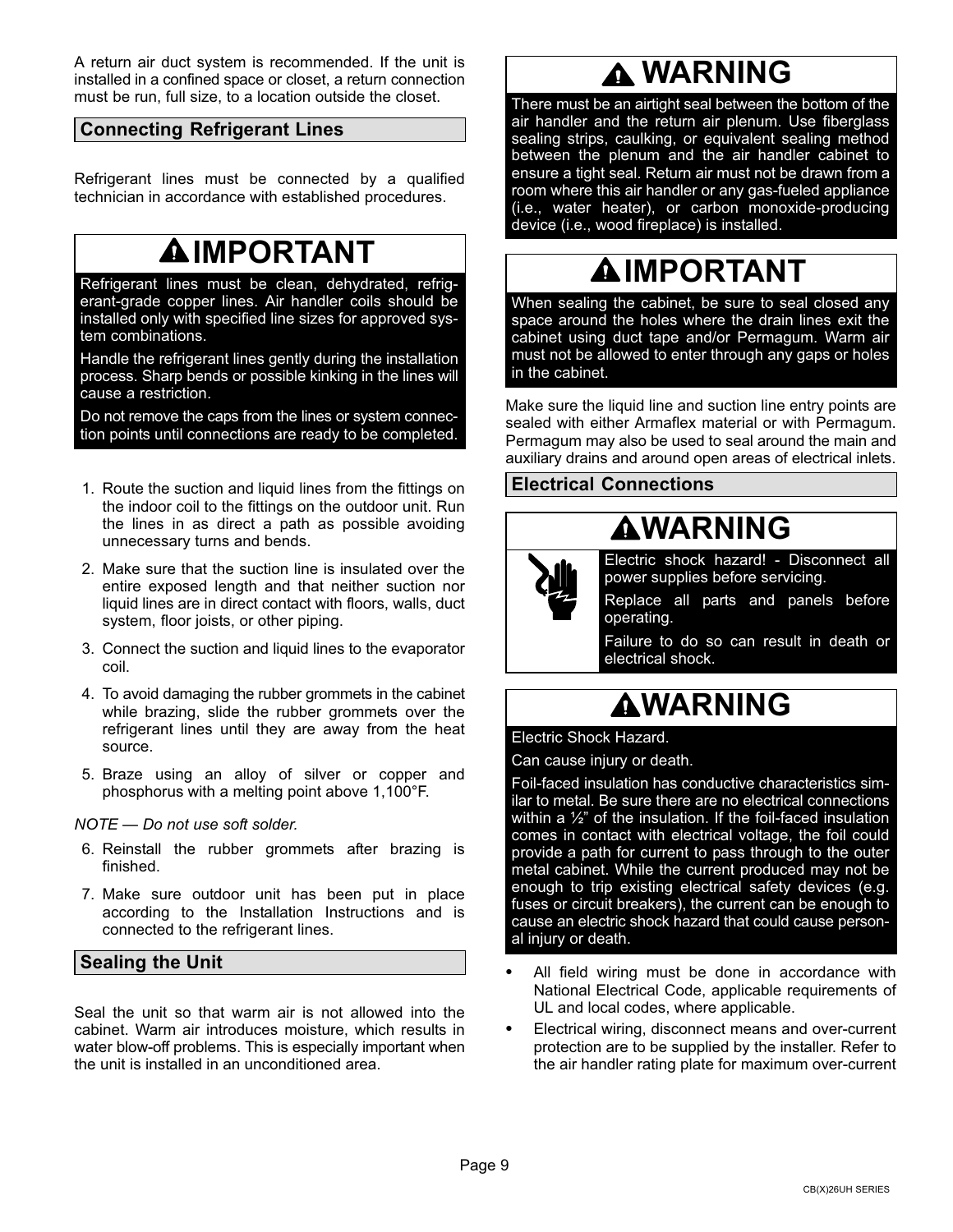<span id="page-8-0"></span>A return air duct system is recommended. If the unit is installed in a confined space or closet, a return connection must be run, full size, to a location outside the closet.

### Connecting Refrigerant Lines

Refrigerant lines must be connected by a qualified technician in accordance with established procedures.

# **AIMPORTANT**

Refrigerant lines must be clean, dehydrated, refrigerant−grade copper lines. Air handler coils should be installed only with specified line sizes for approved system combinations.

Handle the refrigerant lines gently during the installation process. Sharp bends or possible kinking in the lines will cause a restriction.

Do not remove the caps from the lines or system connection points until connections are ready to be completed.

- 1. Route the suction and liquid lines from the fittings on the indoor coil to the fittings on the outdoor unit. Run the lines in as direct a path as possible avoiding unnecessary turns and bends.
- 2. Make sure that the suction line is insulated over the entire exposed length and that neither suction nor liquid lines are in direct contact with floors, walls, duct system, floor joists, or other piping.
- 3. Connect the suction and liquid lines to the evaporator coil.
- 4. To avoid damaging the rubber grommets in the cabinet while brazing, slide the rubber grommets over the refrigerant lines until they are away from the heat source.
- 5. Braze using an alloy of silver or copper and phosphorus with a melting point above 1,100°F.

#### NOTE — Do not use soft solder.

- 6. Reinstall the rubber grommets after brazing is finished.
- 7. Make sure outdoor unit has been put in place according to the Installation Instructions and is connected to the refrigerant lines.

### Sealing the Unit

Seal the unit so that warm air is not allowed into the cabinet. Warm air introduces moisture, which results in water blow−off problems. This is especially important when the unit is installed in an unconditioned area.

## **A WARNING**

There must be an airtight seal between the bottom of the air handler and the return air plenum. Use fiberglass sealing strips, caulking, or equivalent sealing method between the plenum and the air handler cabinet to ensure a tight seal. Return air must not be drawn from a room where this air handler or any gas−fueled appliance (i.e., water heater), or carbon monoxide−producing device (i.e., wood fireplace) is installed.

## **AIMPORTANT**

When sealing the cabinet, be sure to seal closed any space around the holes where the drain lines exit the cabinet using duct tape and/or Permagum. Warm air must not be allowed to enter through any gaps or holes in the cabinet.

Make sure the liquid line and suction line entry points are sealed with either Armaflex material or with Permagum. Permagum may also be used to seal around the main and auxiliary drains and around open areas of electrical inlets.

### Electrical Connections

### WARNING



Electric shock hazard! − Disconnect all power supplies before servicing.

Replace all parts and panels before operating.

Failure to do so can result in death or electrical shock.

## **AWARNING**

#### Electric Shock Hazard.

Can cause injury or death.

Foil-faced insulation has conductive characteristics similar to metal. Be sure there are no electrical connections within a ½" of the insulation. If the foil-faced insulation comes in contact with electrical voltage, the foil could provide a path for current to pass through to the outer metal cabinet. While the current produced may not be enough to trip existing electrical safety devices (e.g. fuses or circuit breakers), the current can be enough to cause an electric shock hazard that could cause personal injury or death.

- $\bullet$  All field wiring must be done in accordance with National Electrical Code, applicable requirements of UL and local codes, where applicable.
- $\bullet$  Electrical wiring, disconnect means and over−current protection are to be supplied by the installer. Refer to the air handler rating plate for maximum over−current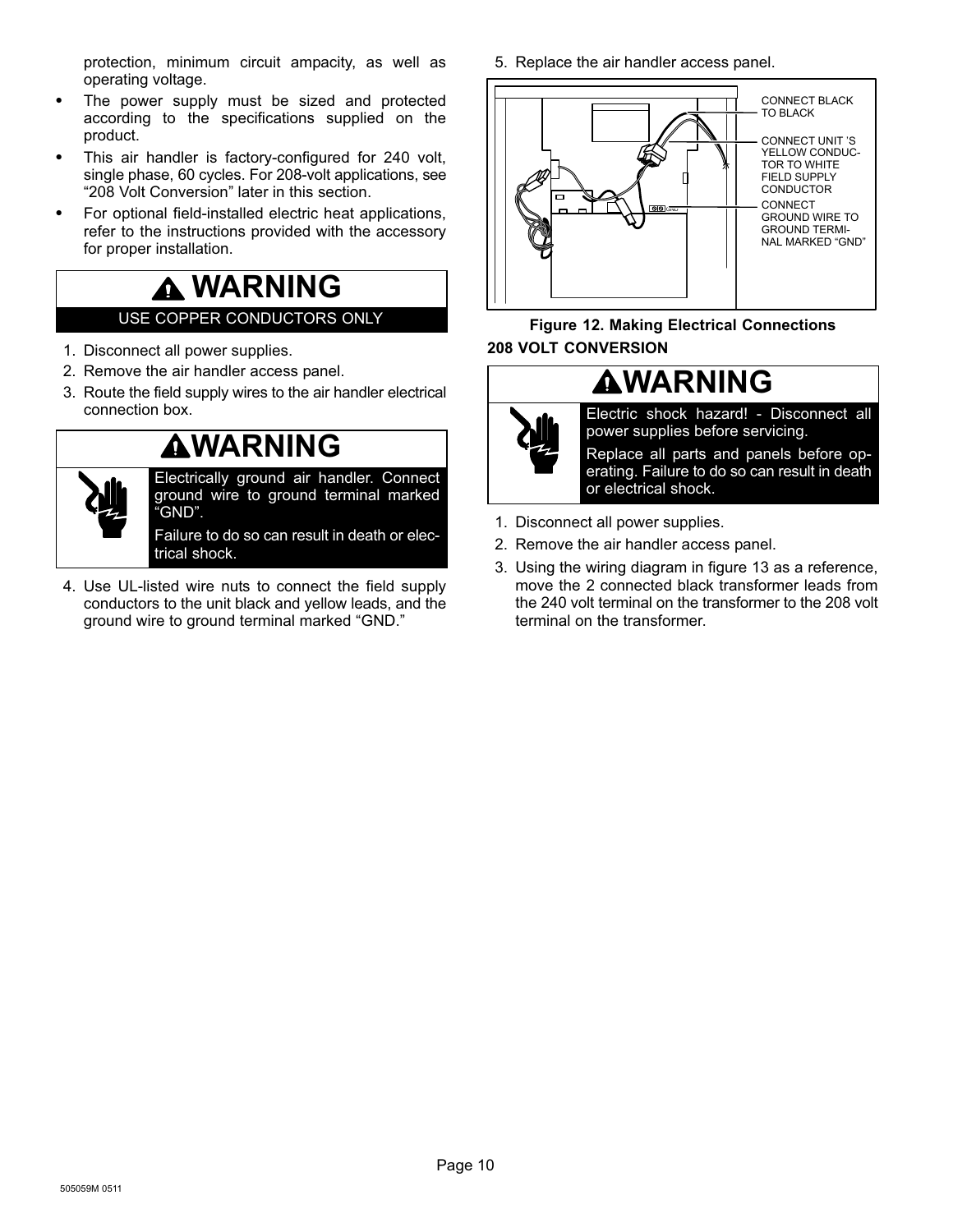protection, minimum circuit ampacity, as well as operating voltage.

- $\bullet$  The power supply must be sized and protected according to the specifications supplied on the product.
- $\bullet$  This air handler is factory−configured for 240 volt, single phase, 60 cycles. For 208−volt applications, see -208 Volt Conversion" later in this section.
- $\bullet$  For optional field-installed electric heat applications, refer to the instructions provided with the accessory for proper installation.

### **A WARNING** USE COPPER CONDUCTORS ONLY

- 1. Disconnect all power supplies.
- 2. Remove the air handler access panel.
- 3. Route the field supply wires to the air handler electrical connection box.



### WARNING

Electrically ground air handler. Connect ground wire to ground terminal marked -GND".

Failure to do so can result in death or electrical shock.

4. Use UL−listed wire nuts to connect the field supply conductors to the unit black and yellow leads, and the ground wire to ground terminal marked "GND."

5. Replace the air handler access panel.



Figure 12. Making Electrical Connections 208 VOLT CONVERSION

## **AWARNING**



Electric shock hazard! − Disconnect all power supplies before servicing.

Replace all parts and panels before operating. Failure to do so can result in death or electrical shock.

- 1. Disconnect all power supplies.
- 2. Remove the air handler access panel.
- 3. Using the wiring diagram in figure [13](#page-10-0) as a reference, move the 2 connected black transformer leads from the 240 volt terminal on the transformer to the 208 volt terminal on the transformer.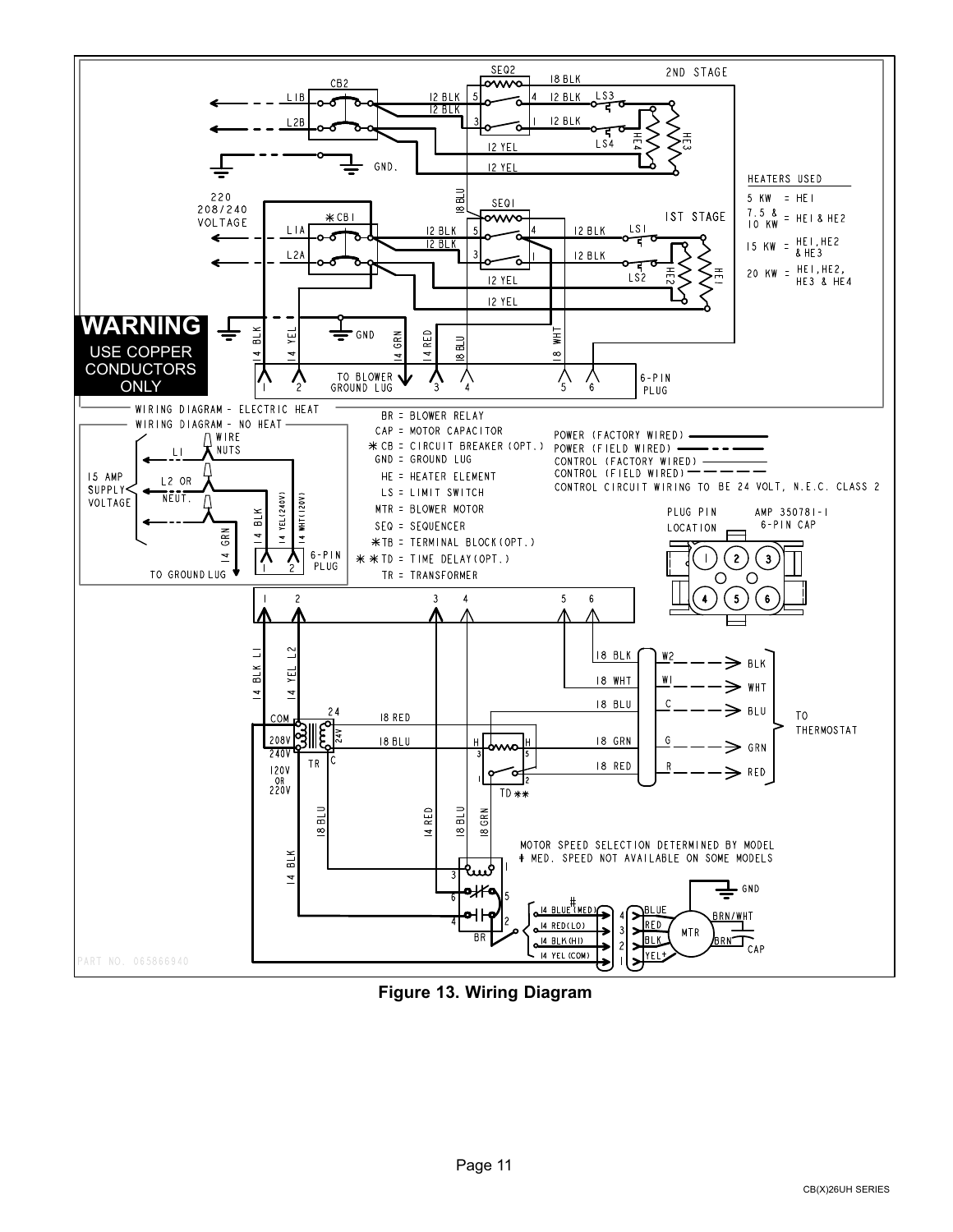<span id="page-10-0"></span>

Figure 13. Wiring Diagram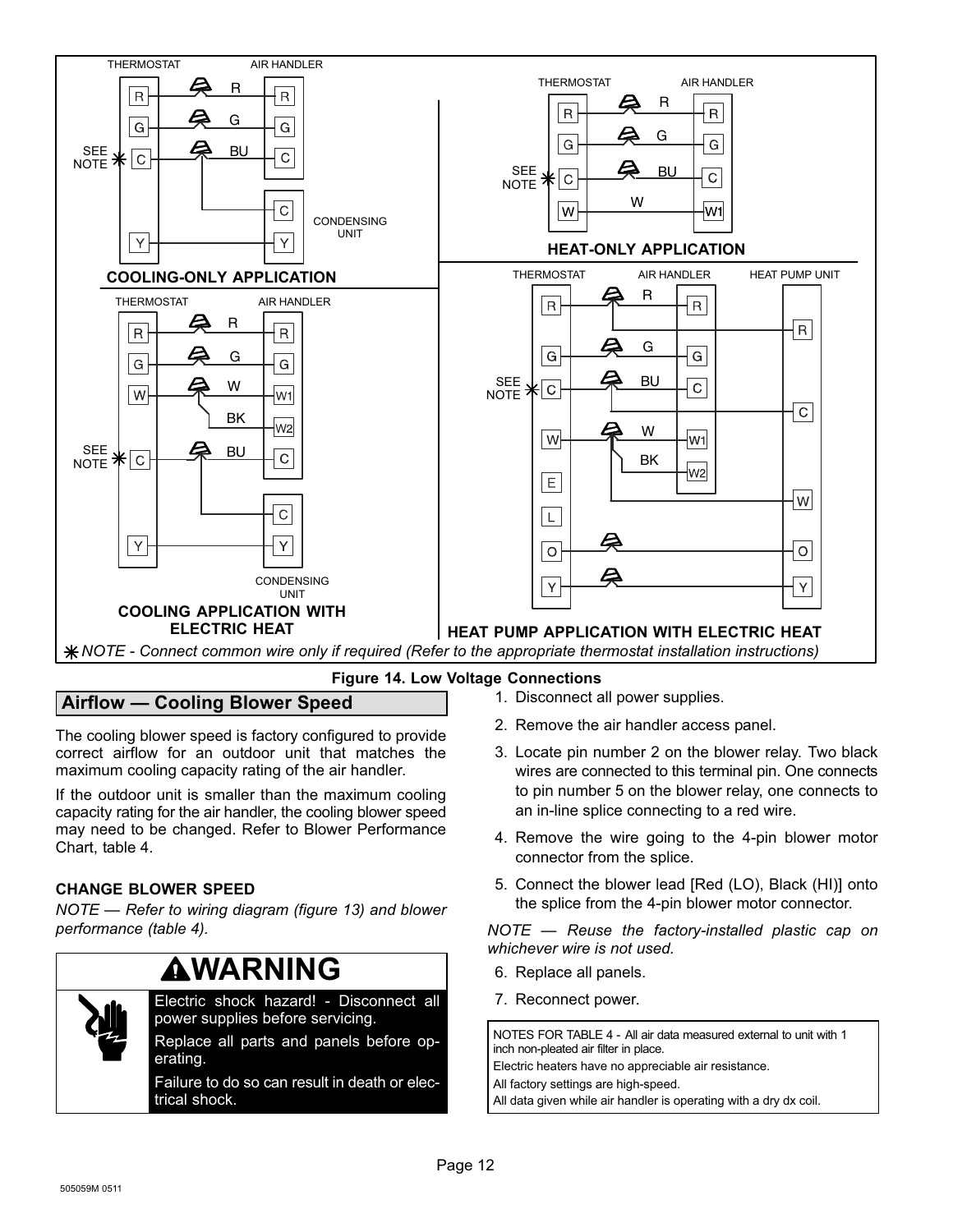<span id="page-11-0"></span>

### Figure 14. Low Voltage Connections

### Airflow — Cooling Blower Speed

The cooling blower speed is factory configured to provide correct airflow for an outdoor unit that matches the maximum cooling capacity rating of the air handler.

If the outdoor unit is smaller than the maximum cooling capacity rating for the air handler, the cooling blower speed may need to be changed. Refer to Blower Performance Chart, table [4.](#page-12-0)

### CHANGE BLOWER SPEED

NOTE — Refer to wiring diagram (figure [13](#page-10-0)) and blower performance (table [4\)](#page-12-0).

# **AWARNING**

Electric shock hazard! − Disconnect all power supplies before servicing.

Replace all parts and panels before operating.

Failure to do so can result in death or electrical shock.

- 1. Disconnect all power supplies.
- 2. Remove the air handler access panel.
- 3. Locate pin number 2 on the blower relay. Two black wires are connected to this terminal pin. One connects to pin number 5 on the blower relay, one connects to an in−line splice connecting to a red wire.
- 4. Remove the wire going to the 4−pin blower motor connector from the splice.
- 5. Connect the blower lead [Red (LO), Black (HI)] onto the splice from the 4−pin blower motor connector.

NOTE — Reuse the factory-installed plastic cap on whichever wire is not used.

- 6. Replace all panels.
- 7. Reconnect power.

```
NOTES FOR TABLE 4 − All air data measured external to unit with 1
inch non−pleated air filter in place.
Electric heaters have no appreciable air resistance.
All factory settings are high−speed.
All data given while air handler is operating with a dry dx coil.
```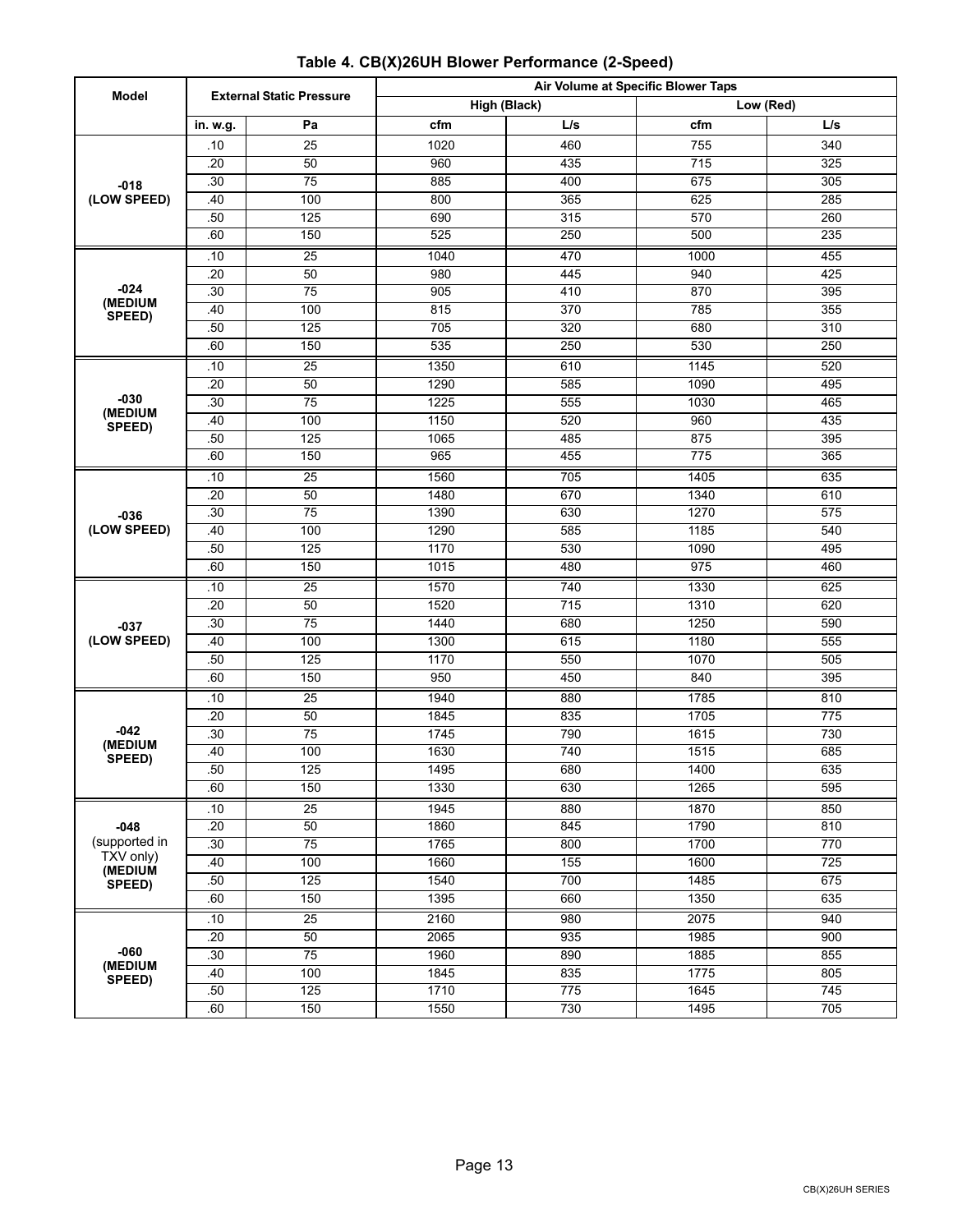<span id="page-12-0"></span>

| <b>Model</b>                                              | <b>External Static Pressure</b> |                 | Air Volume at Specific Blower Taps |              |           |     |  |  |
|-----------------------------------------------------------|---------------------------------|-----------------|------------------------------------|--------------|-----------|-----|--|--|
|                                                           |                                 |                 |                                    | High (Black) | Low (Red) |     |  |  |
|                                                           | in. w.g.                        | Pa              | cfm                                | L/s          | cfm       | L/s |  |  |
|                                                           | .10                             | 25              | 1020                               | 460          | 755       | 340 |  |  |
|                                                           | .20                             | 50              | 960                                | 435          | 715       | 325 |  |  |
| $-018$                                                    | .30                             | 75              | 885                                | 400          | 675       | 305 |  |  |
| (LOW SPEED)                                               | .40                             | 100             | 800                                | 365          | 625       | 285 |  |  |
|                                                           | .50                             | 125             | 690                                | 315          | 570       | 260 |  |  |
|                                                           | .60                             | 150             | 525                                | 250          | 500       | 235 |  |  |
|                                                           | .10                             | $\overline{25}$ | 1040                               | 470          | 1000      | 455 |  |  |
|                                                           | .20                             | $\overline{50}$ | 980                                | 445          | 940       | 425 |  |  |
| $-024$                                                    | .30                             | $\overline{75}$ | 905                                | 410          | 870       | 395 |  |  |
| (MEDIUM                                                   | .40                             | 100             | 815                                | 370          | 785       | 355 |  |  |
| SPEED)                                                    | .50                             | 125             | 705                                | 320          | 680       | 310 |  |  |
|                                                           | .60                             | 150             | 535                                | 250          | 530       | 250 |  |  |
|                                                           | .10                             | 25              | 1350                               | 610          | 1145      | 520 |  |  |
|                                                           | .20                             | 50              | 1290                               | 585          | 1090      | 495 |  |  |
| $-030$                                                    | .30                             | 75              | 1225                               | 555          | 1030      | 465 |  |  |
| (MEDIUM                                                   | .40                             | 100             | 1150                               | 520          | 960       | 435 |  |  |
| SPEED)                                                    | .50                             | 125             | 1065                               | 485          | 875       | 395 |  |  |
|                                                           | .60                             | 150             | 965                                | 455          | 775       | 365 |  |  |
|                                                           |                                 |                 |                                    |              |           |     |  |  |
|                                                           | .10                             | 25              | 1560                               | 705          | 1405      | 635 |  |  |
|                                                           | .20                             | 50              | 1480                               | 670          | 1340      | 610 |  |  |
| $-036$                                                    | .30                             | 75              | 1390                               | 630          | 1270      | 575 |  |  |
| (LOW SPEED)                                               | .40                             | 100             | 1290                               | 585          | 1185      | 540 |  |  |
|                                                           | .50                             | 125             | 1170                               | 530          | 1090      | 495 |  |  |
|                                                           | .60                             | 150             | 1015                               | 480          | 975       | 460 |  |  |
|                                                           | .10                             | $\overline{25}$ | 1570                               | 740          | 1330      | 625 |  |  |
|                                                           | $\overline{.20}$                | 50              | 1520                               | 715          | 1310      | 620 |  |  |
| $-037$                                                    | .30                             | $\overline{75}$ | 1440                               | 680          | 1250      | 590 |  |  |
| (LOW SPEED)                                               | .40                             | 100             | 1300                               | 615          | 1180      | 555 |  |  |
|                                                           | .50                             | 125             | 1170                               | 550          | 1070      | 505 |  |  |
|                                                           | .60                             | 150             | 950                                | 450          | 840       | 395 |  |  |
|                                                           | .10                             | 25              | 1940                               | 880          | 1785      | 810 |  |  |
|                                                           | .20                             | 50              | 1845                               | 835          | 1705      | 775 |  |  |
| -042<br>(MEDIUM                                           | .30                             | $\overline{75}$ | 1745                               | 790          | 1615      | 730 |  |  |
| SPEED)                                                    | .40                             | 100             | 1630                               | 740          | 1515      | 685 |  |  |
|                                                           | .50                             | 125             | 1495                               | 680          | 1400      | 635 |  |  |
|                                                           | .60                             | 150             | 1330                               | 630          | 1265      | 595 |  |  |
|                                                           | .10                             | 25              | 1945                               | 880          | 1870      | 850 |  |  |
| $-048$<br>(supported in<br>TXV only)<br>(MEDIUM<br>SPEED) | .20                             | 50              | 1860                               | 845          | 1790      | 810 |  |  |
|                                                           | .30                             | 75              | 1765                               | 800          | 1700      | 770 |  |  |
|                                                           | .40                             | 100             | 1660                               | 155          | 1600      | 725 |  |  |
|                                                           | .50                             | 125             | 1540                               | 700          | 1485      | 675 |  |  |
|                                                           | .60                             | 150             | 1395                               | 660          | 1350      | 635 |  |  |
|                                                           | .10                             | 25              | 2160                               | 980          | 2075      | 940 |  |  |
|                                                           | .20                             | 50              | 2065                               | 935          | 1985      | 900 |  |  |
| $-060$                                                    | .30                             | 75              | 1960                               | 890          | 1885      | 855 |  |  |
| (MEDIUM<br>SPEED)                                         | .40                             | 100             | 1845                               | 835          | 1775      | 805 |  |  |
|                                                           | .50                             | 125             | 1710                               | 775          | 1645      | 745 |  |  |
|                                                           | .60                             | 150             | 1550                               | 730          | 1495      | 705 |  |  |

### Table 4. CB(X)26UH Blower Performance (2−Speed)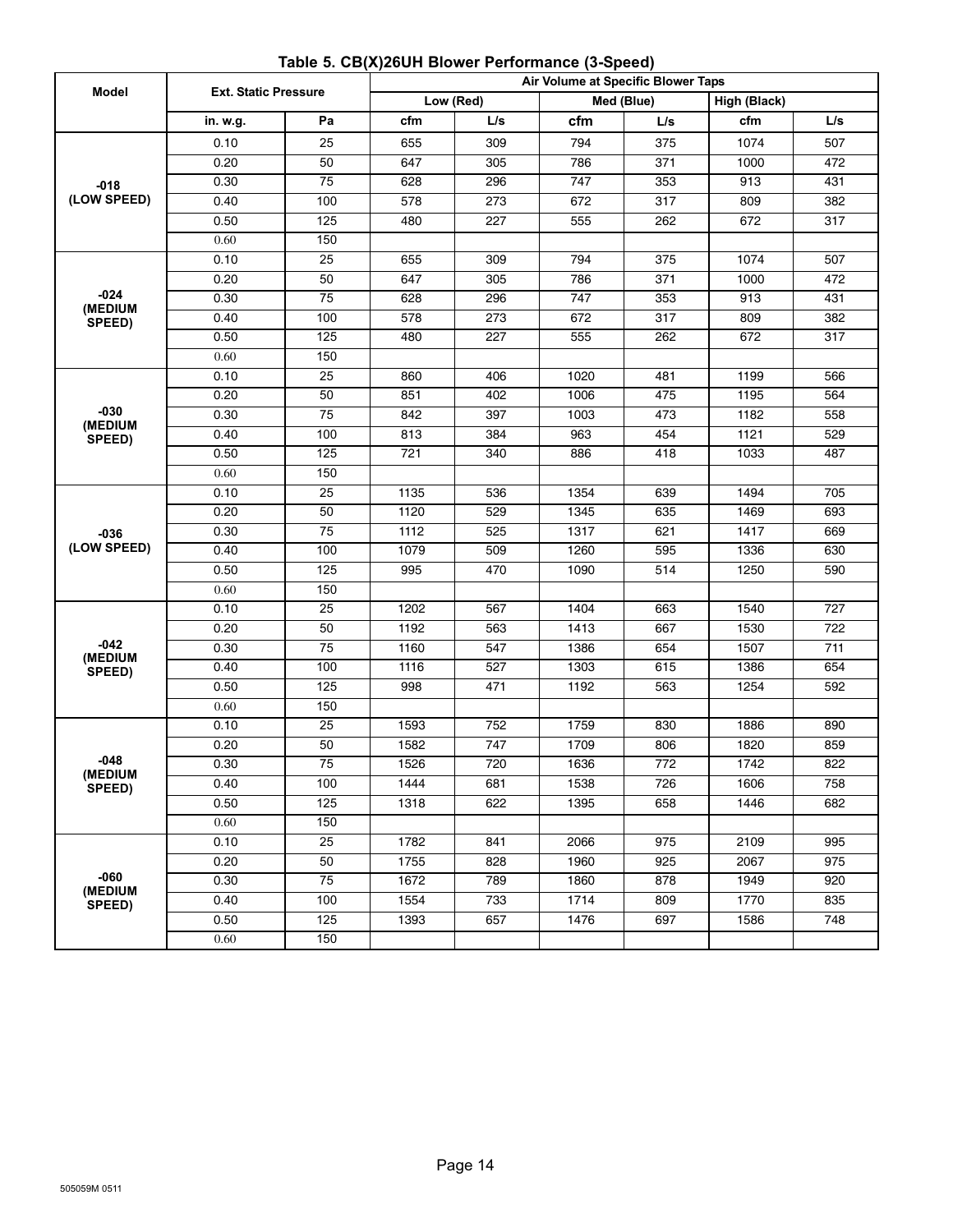|                             | <b>Ext. Static Pressure</b> |                 | Air Volume at Specific Blower Taps |     |            |     |                     |     |
|-----------------------------|-----------------------------|-----------------|------------------------------------|-----|------------|-----|---------------------|-----|
| <b>Model</b>                |                             |                 | Low (Red)                          |     | Med (Blue) |     | <b>High (Black)</b> |     |
|                             | in. w.g.                    | Pa              | cfm                                | L/s | cfm        | L/s | cfm                 | L/s |
|                             | 0.10                        | 25              | 655                                | 309 | 794        | 375 | 1074                | 507 |
|                             | 0.20                        | 50              | 647                                | 305 | 786        | 371 | 1000                | 472 |
| $-018$                      | 0.30                        | $\overline{75}$ | 628                                | 296 | 747        | 353 | 913                 | 431 |
| (LOW SPEED)                 | 0.40                        | 100             | 578                                | 273 | 672        | 317 | 809                 | 382 |
|                             | 0.50                        | 125             | 480                                | 227 | 555        | 262 | 672                 | 317 |
|                             | 0.60                        | 150             |                                    |     |            |     |                     |     |
|                             | 0.10                        | 25              | 655                                | 309 | 794        | 375 | 1074                | 507 |
|                             | 0.20                        | 50              | 647                                | 305 | 786        | 371 | 1000                | 472 |
| $-024$                      | 0.30                        | 75              | 628                                | 296 | 747        | 353 | 913                 | 431 |
| (MEDIUM<br>SPEED)           | 0.40                        | 100             | 578                                | 273 | 672        | 317 | 809                 | 382 |
|                             | 0.50                        | 125             | 480                                | 227 | 555        | 262 | 672                 | 317 |
|                             | 0.60                        | 150             |                                    |     |            |     |                     |     |
|                             | 0.10                        | 25              | 860                                | 406 | 1020       | 481 | 1199                | 566 |
|                             | 0.20                        | 50              | 851                                | 402 | 1006       | 475 | 1195                | 564 |
| $-030$<br>(MEDIUM           | 0.30                        | 75              | 842                                | 397 | 1003       | 473 | 1182                | 558 |
| SPEED)                      | 0.40                        | 100             | 813                                | 384 | 963        | 454 | 1121                | 529 |
|                             | 0.50                        | 125             | 721                                | 340 | 886        | 418 | 1033                | 487 |
|                             | 0.60                        | 150             |                                    |     |            |     |                     |     |
|                             | 0.10                        | 25              | 1135                               | 536 | 1354       | 639 | 1494                | 705 |
|                             | 0.20                        | 50              | 1120                               | 529 | 1345       | 635 | 1469                | 693 |
| $-036$                      | 0.30                        | 75              | 1112                               | 525 | 1317       | 621 | 1417                | 669 |
| (LOW SPEED)                 | 0.40                        | 100             | 1079                               | 509 | 1260       | 595 | 1336                | 630 |
|                             | 0.50                        | 125             | 995                                | 470 | 1090       | 514 | 1250                | 590 |
|                             | 0.60                        | 150             |                                    |     |            |     |                     |     |
|                             | 0.10                        | 25              | 1202                               | 567 | 1404       | 663 | 1540                | 727 |
|                             | 0.20                        | 50              | 1192                               | 563 | 1413       | 667 | 1530                | 722 |
| $-042$<br>(MEDIUM           | 0.30                        | 75              | 1160                               | 547 | 1386       | 654 | 1507                | 711 |
| SPEED)                      | 0.40                        | 100             | 1116                               | 527 | 1303       | 615 | 1386                | 654 |
|                             | 0.50                        | 125             | 998                                | 471 | 1192       | 563 | 1254                | 592 |
|                             | 0.60                        | 150             |                                    |     |            |     |                     |     |
|                             | 0.10                        | 25              | 1593                               | 752 | 1759       | 830 | 1886                | 890 |
|                             | 0.20                        | 50              | 1582                               | 747 | 1709       | 806 | 1820                | 859 |
| $-048$<br>(MEDIUM<br>SPEED) | 0.30                        | 75              | 1526                               | 720 | 1636       | 772 | 1742                | 822 |
|                             | 0.40                        | 100             | 1444                               | 681 | 1538       | 726 | 1606                | 758 |
|                             | 0.50                        | 125             | 1318                               | 622 | 1395       | 658 | 1446                | 682 |
|                             | 0.60                        | 150             |                                    |     |            |     |                     |     |
| -060<br>(MEDIUM<br>SPEED)   | 0.10                        | $\overline{25}$ | 1782                               | 841 | 2066       | 975 | 2109                | 995 |
|                             | 0.20                        | 50              | 1755                               | 828 | 1960       | 925 | 2067                | 975 |
|                             | 0.30                        | 75              | 1672                               | 789 | 1860       | 878 | 1949                | 920 |
|                             | 0.40                        | 100             | 1554                               | 733 | 1714       | 809 | 1770                | 835 |
|                             | 0.50                        | 125             | 1393                               | 657 | 1476       | 697 | 1586                | 748 |
|                             | 0.60                        | 150             |                                    |     |            |     |                     |     |

### Table 5. CB(X)26UH Blower Performance (3−Speed)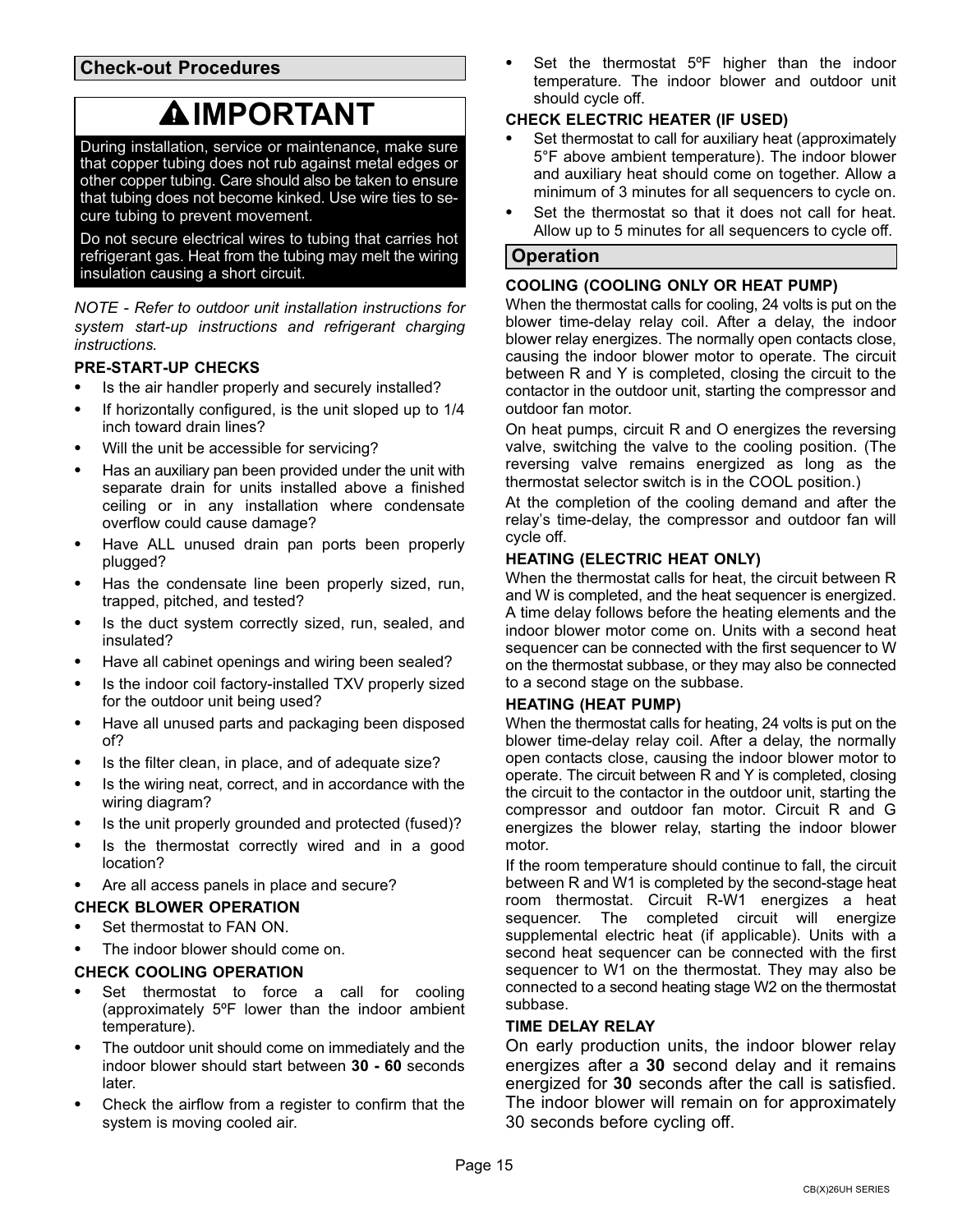<span id="page-14-0"></span>Check−out Procedures

## **AIMPORTANT**

During installation, service or maintenance, make sure that copper tubing does not rub against metal edges or other copper tubing. Care should also be taken to ensure that tubing does not become kinked. Use wire ties to secure tubing to prevent movement.

Do not secure electrical wires to tubing that carries hot refrigerant gas. Heat from the tubing may melt the wiring insulation causing a short circuit.

NOTE − Refer to outdoor unit installation instructions for system start−up instructions and refrigerant charging instructions.

### PRE-START-UP CHECKS

- $\bullet$ Is the air handler properly and securely installed?
- $\bullet$  If horizontally configured, is the unit sloped up to 1/4 inch toward drain lines?
- $\bullet$ Will the unit be accessible for servicing?
- $\bullet$  Has an auxiliary pan been provided under the unit with separate drain for units installed above a finished ceiling or in any installation where condensate overflow could cause damage?
- $\bullet$  Have ALL unused drain pan ports been properly plugged?
- $\bullet$  Has the condensate line been properly sized, run, trapped, pitched, and tested?
- $\bullet$  Is the duct system correctly sized, run, sealed, and insulated?
- $\bullet$ Have all cabinet openings and wiring been sealed?
- $\bullet$  Is the indoor coil factory-installed TXV properly sized for the outdoor unit being used?
- $\bullet$  Have all unused parts and packaging been disposed of?
- $\bullet$ Is the filter clean, in place, and of adequate size?
- $\bullet$  Is the wiring neat, correct, and in accordance with the wiring diagram?
- $\bullet$ Is the unit properly grounded and protected (fused)?
- $\bullet$  Is the thermostat correctly wired and in a good location?
- $\bullet$ Are all access panels in place and secure?

### CHECK BLOWER OPERATION

- $\bullet$ Set thermostat to FAN ON.
- $\bullet$ The indoor blower should come on.

### CHECK COOLING OPERATION

- $\bullet$  Set thermostat to force a call for cooling (approximately 5ºF lower than the indoor ambient temperature).
- $\bullet$  The outdoor unit should come on immediately and the indoor blower should start between 30 − 60 seconds later.
- $\bullet$  Check the airflow from a register to confirm that the system is moving cooled air.

 $\bullet$  Set the thermostat 5ºF higher than the indoor temperature. The indoor blower and outdoor unit should cycle off.

### CHECK ELECTRIC HEATER (IF USED)

- $\bullet$  Set thermostat to call for auxiliary heat (approximately 5°F above ambient temperature). The indoor blower and auxiliary heat should come on together. Allow a minimum of 3 minutes for all sequencers to cycle on.
- $\bullet$  Set the thermostat so that it does not call for heat. Allow up to 5 minutes for all sequencers to cycle off.

### **Operation**

### COOLING (COOLING ONLY OR HEAT PUMP)

When the thermostat calls for cooling, 24 volts is put on the blower time−delay relay coil. After a delay, the indoor blower relay energizes. The normally open contacts close, causing the indoor blower motor to operate. The circuit between R and Y is completed, closing the circuit to the contactor in the outdoor unit, starting the compressor and outdoor fan motor.

On heat pumps, circuit R and O energizes the reversing valve, switching the valve to the cooling position. (The reversing valve remains energized as long as the thermostat selector switch is in the COOL position.)

At the completion of the cooling demand and after the relay's time-delay, the compressor and outdoor fan will cycle off.

### HEATING (ELECTRIC HEAT ONLY)

When the thermostat calls for heat, the circuit between R and W is completed, and the heat sequencer is energized. A time delay follows before the heating elements and the indoor blower motor come on. Units with a second heat sequencer can be connected with the first sequencer to W on the thermostat subbase, or they may also be connected to a second stage on the subbase.

#### HEATING (HEAT PUMP)

When the thermostat calls for heating, 24 volts is put on the blower time−delay relay coil. After a delay, the normally open contacts close, causing the indoor blower motor to operate. The circuit between R and Y is completed, closing the circuit to the contactor in the outdoor unit, starting the compressor and outdoor fan motor. Circuit R and G energizes the blower relay, starting the indoor blower motor.

If the room temperature should continue to fall, the circuit between R and W1 is completed by the second-stage heat room thermostat. Circuit R−W1 energizes a heat sequencer. The completed circuit will energize supplemental electric heat (if applicable). Units with a second heat sequencer can be connected with the first sequencer to W1 on the thermostat. They may also be connected to a second heating stage W2 on the thermostat subbase.

### TIME DELAY RELAY

On early production units, the indoor blower relay energizes after a 30 second delay and it remains energized for 30 seconds after the call is satisfied. The indoor blower will remain on for approximately 30 seconds before cycling off.